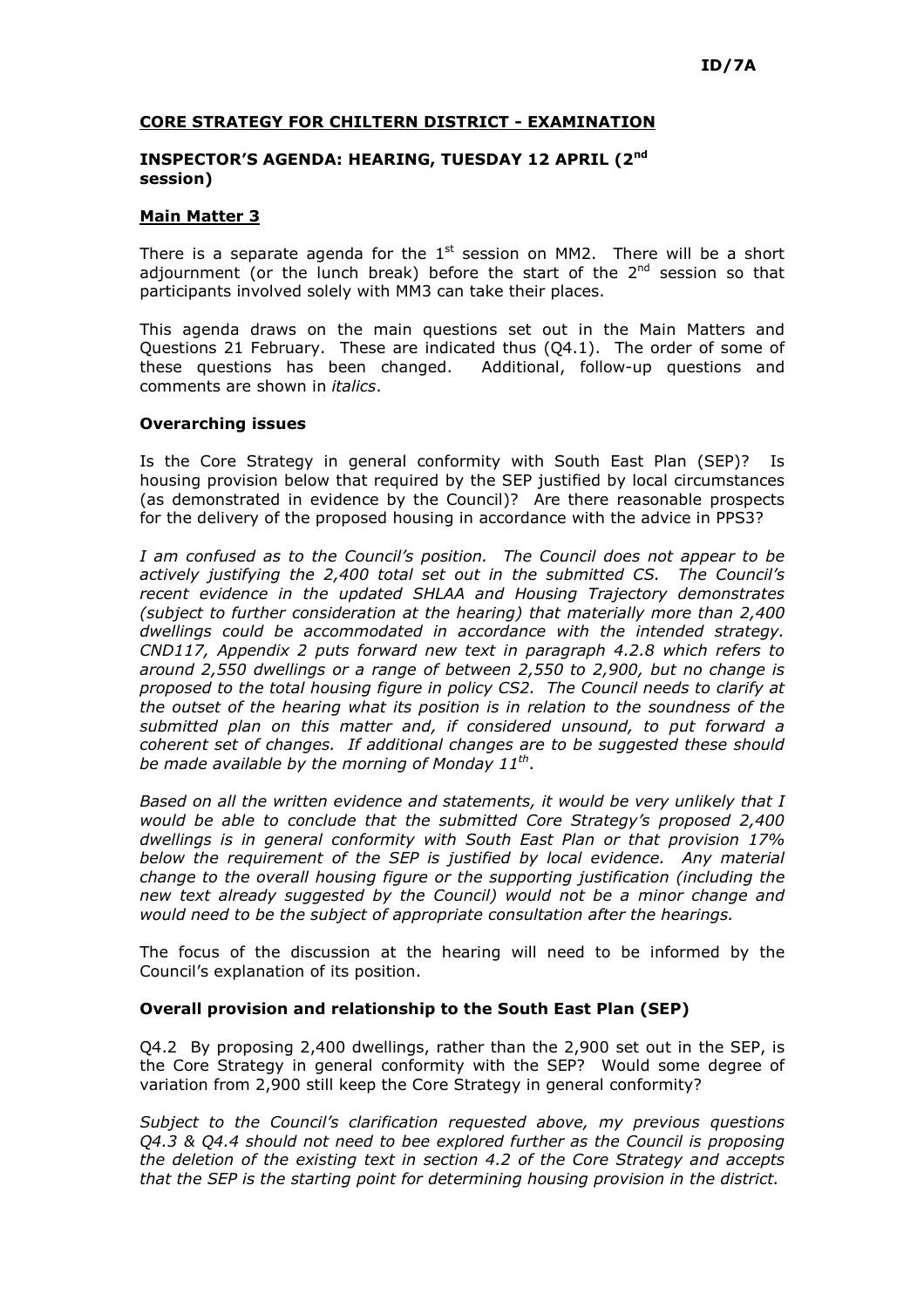## CORE STRATEGY FOR CHILTERN DISTRICT - EXAMINATION

## INSPECTOR'S AGENDA: HEARING, TUESDAY 12 APRIL (2nd session)

## Main Matter 3

There is a separate agenda for the  $1<sup>st</sup>$  session on MM2. There will be a short adjournment (or the lunch break) before the start of the  $2<sup>nd</sup>$  session so that participants involved solely with MM3 can take their places.

This agenda draws on the main questions set out in the Main Matters and Questions 21 February. These are indicated thus (Q4.1). The order of some of these questions has been changed. Additional, follow-up questions and comments are shown in italics.

#### Overarching issues

Is the Core Strategy in general conformity with South East Plan (SEP)? Is housing provision below that required by the SEP justified by local circumstances (as demonstrated in evidence by the Council)? Are there reasonable prospects for the delivery of the proposed housing in accordance with the advice in PPS3?

I am confused as to the Council's position. The Council does not appear to be actively justifying the 2,400 total set out in the submitted CS. The Council's recent evidence in the updated SHLAA and Housing Trajectory demonstrates (subject to further consideration at the hearing) that materially more than 2,400 dwellings could be accommodated in accordance with the intended strategy. CND117, Appendix 2 puts forward new text in paragraph 4.2.8 which refers to around 2,550 dwellings or a range of between 2,550 to 2,900, but no change is proposed to the total housing figure in policy CS2. The Council needs to clarify at the outset of the hearing what its position is in relation to the soundness of the submitted plan on this matter and, if considered unsound, to put forward a coherent set of changes. If additional changes are to be suggested these should be made available by the morning of Monday 11 $^{\rm th}$ .

Based on all the written evidence and statements, it would be very unlikely that I would be able to conclude that the submitted Core Strategy's proposed 2,400 dwellings is in general conformity with South East Plan or that provision 17% below the requirement of the SEP is justified by local evidence. Any material change to the overall housing figure or the supporting justification (including the new text already suggested by the Council) would not be a minor change and would need to be the subject of appropriate consultation after the hearings.

The focus of the discussion at the hearing will need to be informed by the Council's explanation of its position.

# Overall provision and relationship to the South East Plan (SEP)

Q4.2 By proposing 2,400 dwellings, rather than the 2,900 set out in the SEP, is the Core Strategy in general conformity with the SEP? Would some degree of variation from 2,900 still keep the Core Strategy in general conformity?

Subject to the Council's clarification requested above, my previous questions Q4.3 & Q4.4 should not need to bee explored further as the Council is proposing the deletion of the existing text in section 4.2 of the Core Strategy and accepts that the SEP is the starting point for determining housing provision in the district.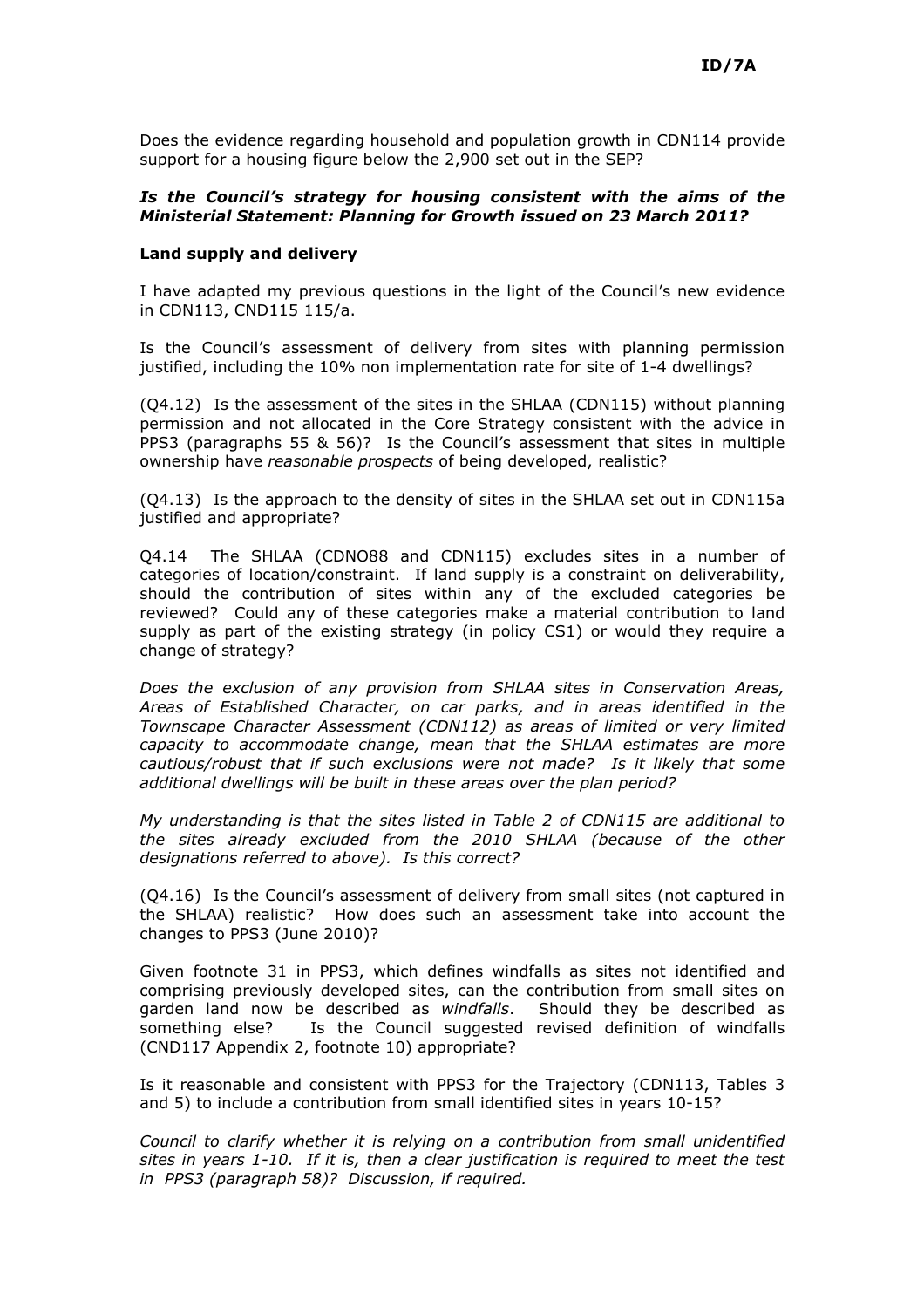Does the evidence regarding household and population growth in CDN114 provide support for a housing figure below the 2,900 set out in the SEP?

## Is the Council's strategy for housing consistent with the aims of the Ministerial Statement: Planning for Growth issued on 23 March 2011?

## Land supply and delivery

I have adapted my previous questions in the light of the Council's new evidence in CDN113, CND115 115/a.

Is the Council's assessment of delivery from sites with planning permission justified, including the 10% non implementation rate for site of 1-4 dwellings?

(Q4.12) Is the assessment of the sites in the SHLAA (CDN115) without planning permission and not allocated in the Core Strategy consistent with the advice in PPS3 (paragraphs 55 & 56)? Is the Council's assessment that sites in multiple ownership have reasonable prospects of being developed, realistic?

(Q4.13) Is the approach to the density of sites in the SHLAA set out in CDN115a justified and appropriate?

Q4.14 The SHLAA (CDNO88 and CDN115) excludes sites in a number of categories of location/constraint. If land supply is a constraint on deliverability, should the contribution of sites within any of the excluded categories be reviewed? Could any of these categories make a material contribution to land supply as part of the existing strategy (in policy CS1) or would they require a change of strategy?

Does the exclusion of any provision from SHLAA sites in Conservation Areas, Areas of Established Character, on car parks, and in areas identified in the Townscape Character Assessment (CDN112) as areas of limited or very limited capacity to accommodate change, mean that the SHLAA estimates are more cautious/robust that if such exclusions were not made? Is it likely that some additional dwellings will be built in these areas over the plan period?

My understanding is that the sites listed in Table 2 of CDN115 are additional to the sites already excluded from the 2010 SHLAA (because of the other designations referred to above). Is this correct?

(Q4.16) Is the Council's assessment of delivery from small sites (not captured in the SHLAA) realistic? How does such an assessment take into account the changes to PPS3 (June 2010)?

Given footnote 31 in PPS3, which defines windfalls as sites not identified and comprising previously developed sites, can the contribution from small sites on garden land now be described as windfalls. Should they be described as something else? Is the Council suggested revised definition of windfalls (CND117 Appendix 2, footnote 10) appropriate?

Is it reasonable and consistent with PPS3 for the Trajectory (CDN113, Tables 3 and 5) to include a contribution from small identified sites in years 10-15?

Council to clarify whether it is relying on a contribution from small unidentified sites in years 1-10. If it is, then a clear justification is required to meet the test in PPS3 (paragraph 58)? Discussion, if required.